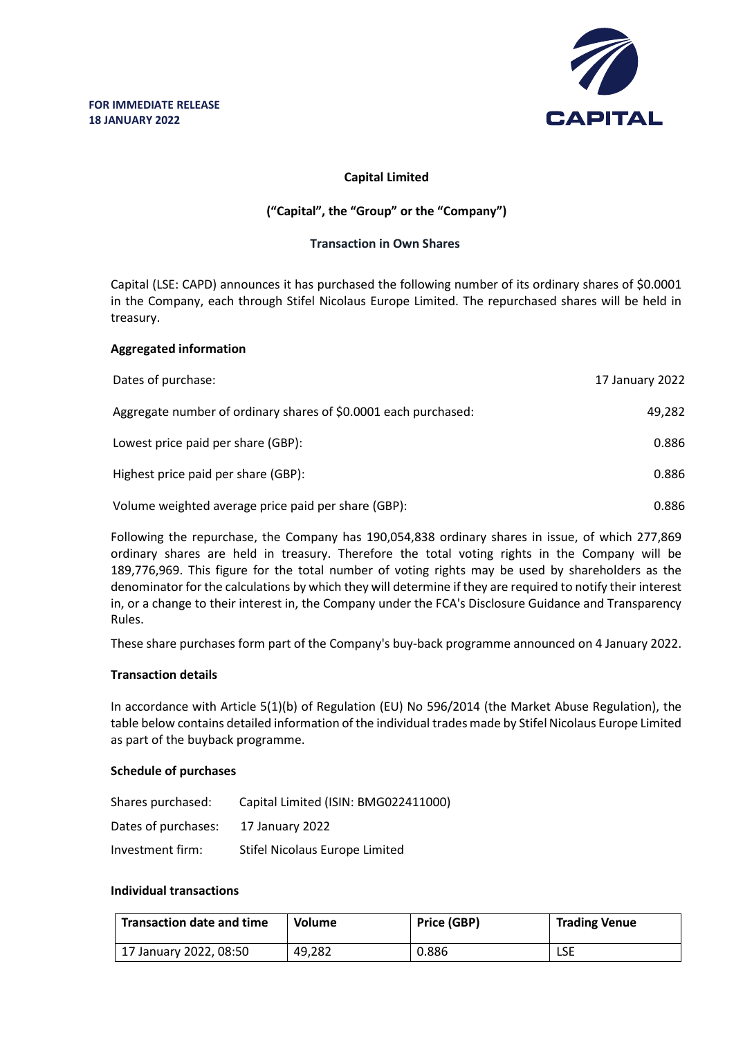

# **Capital Limited**

# **("Capital", the "Group" or the "Company")**

## **Transaction in Own Shares**

Capital (LSE: CAPD) announces it has purchased the following number of its ordinary shares of \$0.0001 in the Company, each through Stifel Nicolaus Europe Limited. The repurchased shares will be held in treasury.

## **Aggregated information**

| Dates of purchase:                                              | 17 January 2022 |
|-----------------------------------------------------------------|-----------------|
| Aggregate number of ordinary shares of \$0.0001 each purchased: | 49,282          |
| Lowest price paid per share (GBP):                              | 0.886           |
| Highest price paid per share (GBP):                             | 0.886           |
| Volume weighted average price paid per share (GBP):             | 0.886           |

Following the repurchase, the Company has 190,054,838 ordinary shares in issue, of which 277,869 ordinary shares are held in treasury. Therefore the total voting rights in the Company will be 189,776,969. This figure for the total number of voting rights may be used by shareholders as the denominator for the calculations by which they will determine if they are required to notify their interest in, or a change to their interest in, the Company under the FCA's Disclosure Guidance and Transparency Rules.

These share purchases form part of the Company's buy-back programme announced on 4 January 2022.

#### **Transaction details**

In accordance with Article 5(1)(b) of Regulation (EU) No 596/2014 (the Market Abuse Regulation), the table below contains detailed information of the individual trades made by Stifel Nicolaus Europe Limited as part of the buyback programme.

#### **Schedule of purchases**

| Shares purchased:   | Capital Limited (ISIN: BMG022411000) |
|---------------------|--------------------------------------|
| Dates of purchases: | 17 January 2022                      |
| Investment firm:    | Stifel Nicolaus Europe Limited       |

# **Individual transactions**

| <b>Transaction date and time</b> | <b>Volume</b> | Price (GBP) | <b>Trading Venue</b> |
|----------------------------------|---------------|-------------|----------------------|
| 17 January 2022, 08:50           | 49.282        | 0.886       | LSE                  |